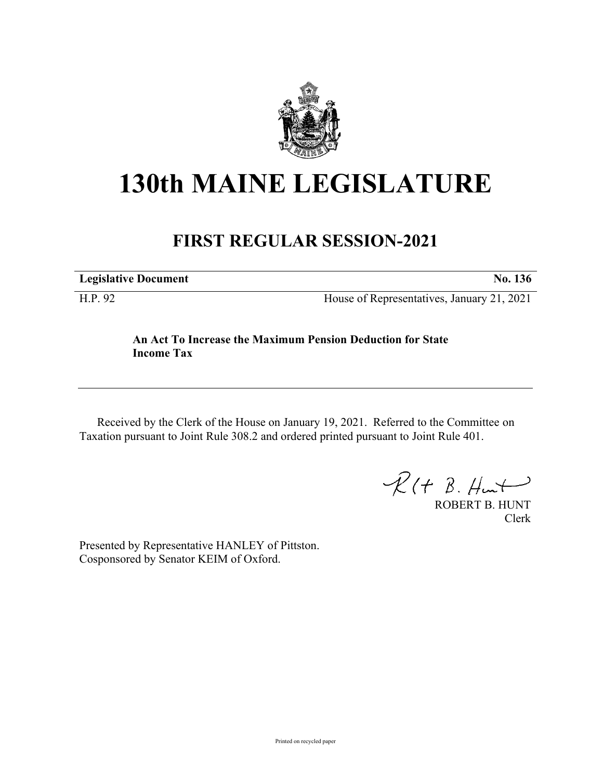

## **130th MAINE LEGISLATURE**

## **FIRST REGULAR SESSION-2021**

**Legislative Document No. 136**

H.P. 92 House of Representatives, January 21, 2021

## **An Act To Increase the Maximum Pension Deduction for State Income Tax**

Received by the Clerk of the House on January 19, 2021. Referred to the Committee on Taxation pursuant to Joint Rule 308.2 and ordered printed pursuant to Joint Rule 401.

 $\mathcal{R}(t \; \mathcal{B}, \mathcal{H}_{\mathsf{int}})$ 

ROBERT B. HUNT Clerk

Presented by Representative HANLEY of Pittston. Cosponsored by Senator KEIM of Oxford.